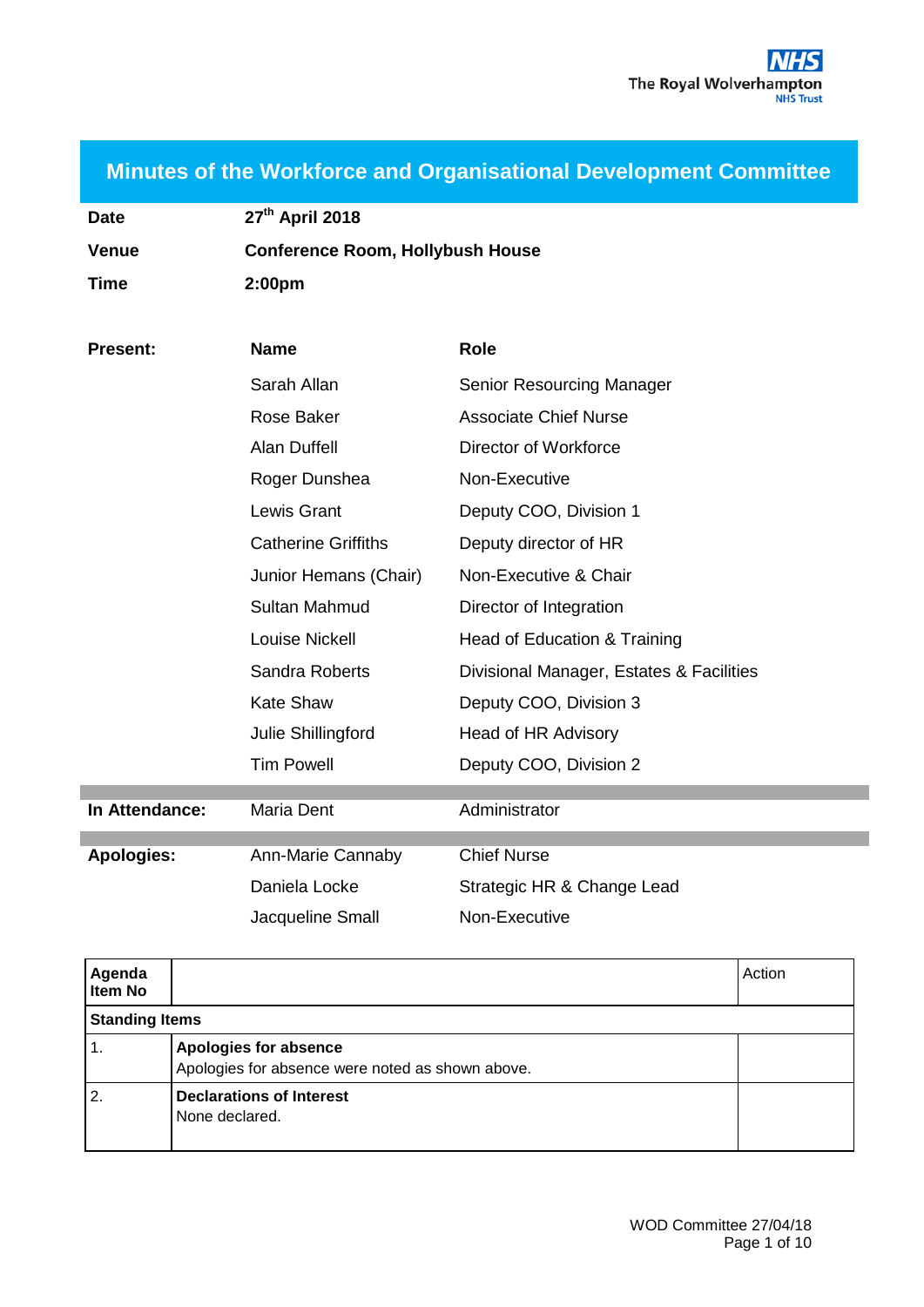| <b>Minutes of the Workforce and Organisational Development Committee</b> |  |  |  |
|--------------------------------------------------------------------------|--|--|--|
|                                                                          |  |  |  |

| <b>Date</b>  | 27th April 2018                         |
|--------------|-----------------------------------------|
| <b>Venue</b> | <b>Conference Room, Hollybush House</b> |
| Time         | 2:00 <sub>pm</sub>                      |

| <b>Present:</b>   | <b>Name</b>                | <b>Role</b>                              |
|-------------------|----------------------------|------------------------------------------|
|                   | Sarah Allan                | Senior Resourcing Manager                |
|                   | <b>Rose Baker</b>          | <b>Associate Chief Nurse</b>             |
|                   | <b>Alan Duffell</b>        | Director of Workforce                    |
|                   | Roger Dunshea              | Non-Executive                            |
|                   | Lewis Grant                | Deputy COO, Division 1                   |
|                   | <b>Catherine Griffiths</b> | Deputy director of HR                    |
|                   | Junior Hemans (Chair)      | Non-Executive & Chair                    |
|                   | <b>Sultan Mahmud</b>       | Director of Integration                  |
|                   | Louise Nickell             | Head of Education & Training             |
|                   | Sandra Roberts             | Divisional Manager, Estates & Facilities |
|                   | <b>Kate Shaw</b>           | Deputy COO, Division 3                   |
|                   | Julie Shillingford         | Head of HR Advisory                      |
|                   | <b>Tim Powell</b>          | Deputy COO, Division 2                   |
| In Attendance:    | Maria Dent                 | Administrator                            |
| <b>Apologies:</b> | Ann-Marie Cannaby          | <b>Chief Nurse</b>                       |
|                   | Daniela Locke              | Strategic HR & Change Lead               |
|                   | Jacqueline Small           | Non-Executive                            |

| Agenda<br>Item No     |                                                                                  | Action |
|-----------------------|----------------------------------------------------------------------------------|--------|
| <b>Standing Items</b> |                                                                                  |        |
|                       | <b>Apologies for absence</b><br>Apologies for absence were noted as shown above. |        |
| 2.                    | <b>Declarations of Interest</b><br>None declared.                                |        |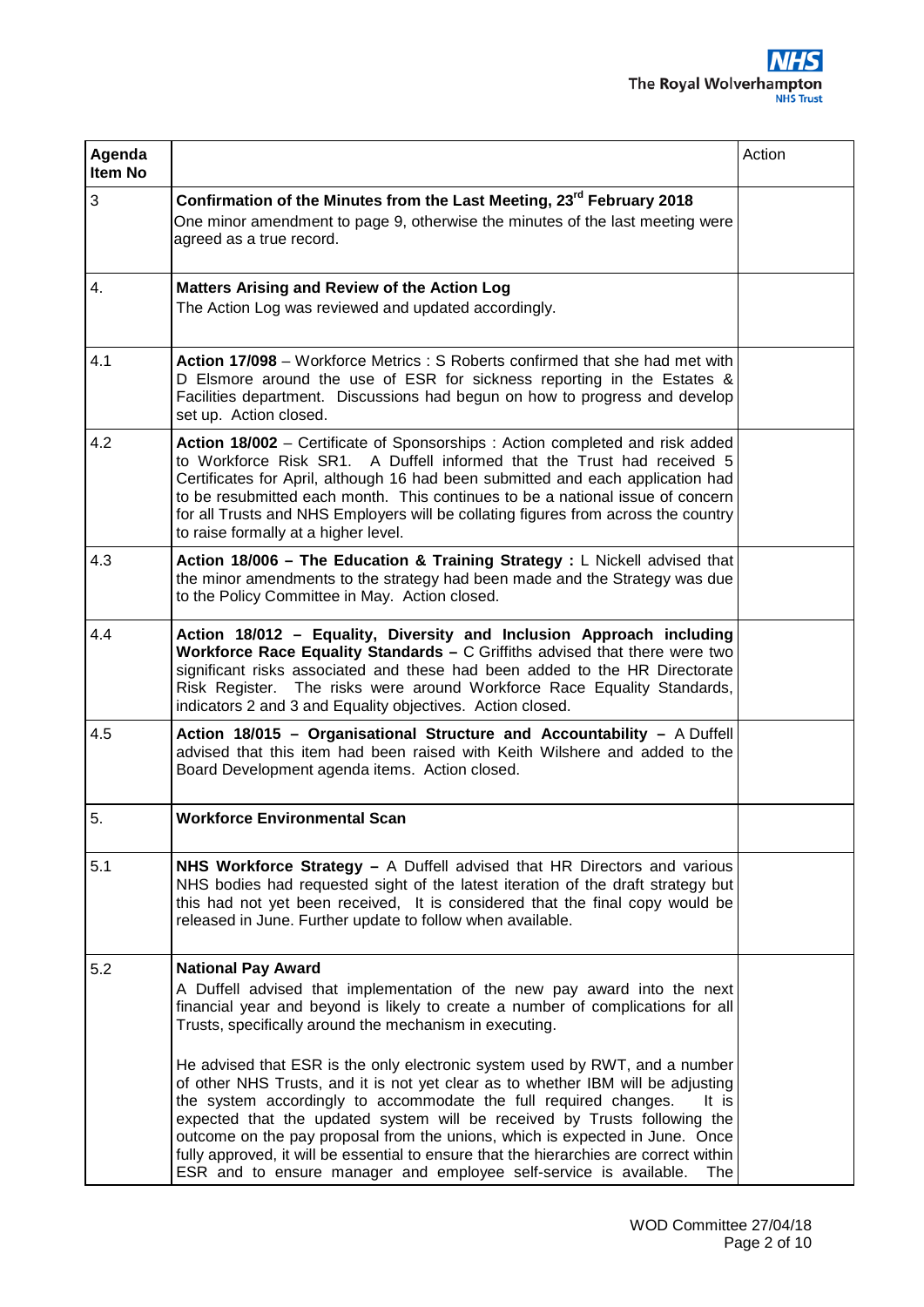| Agenda<br>Item No |                                                                                                                                                                                                                                                                                                                                                                                                                                                                                                  | Action |
|-------------------|--------------------------------------------------------------------------------------------------------------------------------------------------------------------------------------------------------------------------------------------------------------------------------------------------------------------------------------------------------------------------------------------------------------------------------------------------------------------------------------------------|--------|
| 3                 | Confirmation of the Minutes from the Last Meeting, 23 <sup>rd</sup> February 2018<br>One minor amendment to page 9, otherwise the minutes of the last meeting were<br>agreed as a true record.                                                                                                                                                                                                                                                                                                   |        |
| 4.                | <b>Matters Arising and Review of the Action Log</b><br>The Action Log was reviewed and updated accordingly.                                                                                                                                                                                                                                                                                                                                                                                      |        |
| 4.1               | Action 17/098 - Workforce Metrics: S Roberts confirmed that she had met with<br>D Elsmore around the use of ESR for sickness reporting in the Estates &<br>Facilities department. Discussions had begun on how to progress and develop<br>set up. Action closed.                                                                                                                                                                                                                                 |        |
| 4.2               | Action 18/002 – Certificate of Sponsorships : Action completed and risk added<br>to Workforce Risk SR1. A Duffell informed that the Trust had received 5<br>Certificates for April, although 16 had been submitted and each application had<br>to be resubmitted each month. This continues to be a national issue of concern<br>for all Trusts and NHS Employers will be collating figures from across the country<br>to raise formally at a higher level.                                      |        |
| 4.3               | Action 18/006 – The Education & Training Strategy : $L$ Nickell advised that<br>the minor amendments to the strategy had been made and the Strategy was due<br>to the Policy Committee in May. Action closed.                                                                                                                                                                                                                                                                                    |        |
| 4.4               | Action 18/012 - Equality, Diversity and Inclusion Approach including<br>Workforce Race Equality Standards - C Griffiths advised that there were two<br>significant risks associated and these had been added to the HR Directorate<br>Risk Register. The risks were around Workforce Race Equality Standards,<br>indicators 2 and 3 and Equality objectives. Action closed.                                                                                                                      |        |
| 4.5               | Action 18/015 - Organisational Structure and Accountability - A Duffell<br>advised that this item had been raised with Keith Wilshere and added to the<br>Board Development agenda items. Action closed.                                                                                                                                                                                                                                                                                         |        |
| 5.                | <b>Workforce Environmental Scan</b>                                                                                                                                                                                                                                                                                                                                                                                                                                                              |        |
| 5.1               | NHS Workforce Strategy $-$ A Duffell advised that HR Directors and various<br>NHS bodies had requested sight of the latest iteration of the draft strategy but<br>this had not yet been received, It is considered that the final copy would be<br>released in June. Further update to follow when available.                                                                                                                                                                                    |        |
| 5.2               | <b>National Pay Award</b><br>A Duffell advised that implementation of the new pay award into the next<br>financial year and beyond is likely to create a number of complications for all<br>Trusts, specifically around the mechanism in executing.<br>He advised that ESR is the only electronic system used by RWT, and a number                                                                                                                                                               |        |
|                   | of other NHS Trusts, and it is not yet clear as to whether IBM will be adjusting<br>the system accordingly to accommodate the full required changes.<br>It is<br>expected that the updated system will be received by Trusts following the<br>outcome on the pay proposal from the unions, which is expected in June. Once<br>fully approved, it will be essential to ensure that the hierarchies are correct within<br>ESR and to ensure manager and employee self-service is available.<br>The |        |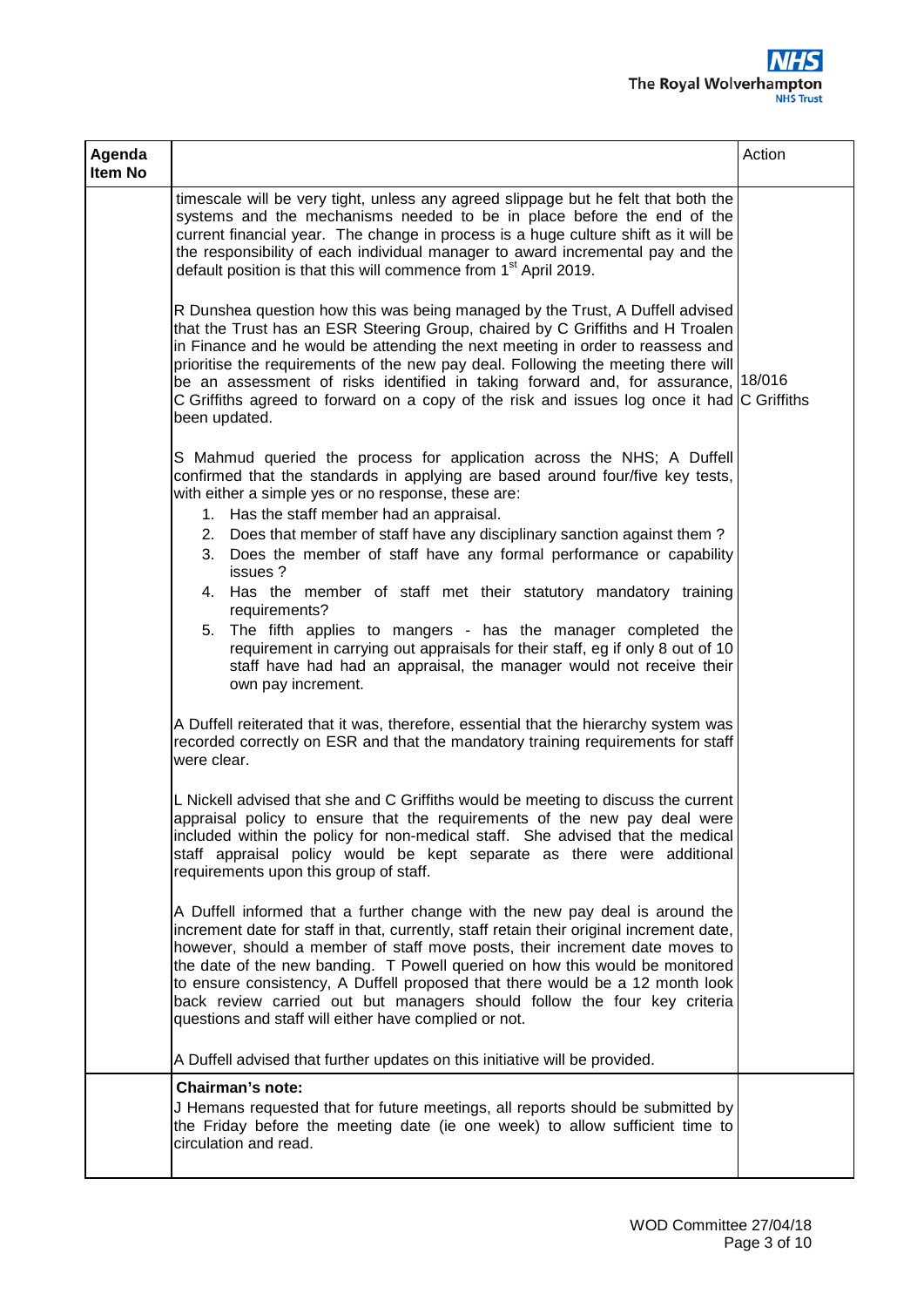| Agenda<br>Item No |                                                                                                                                                                                                                                                                                                                                                                                                                                                                                                                                                               | Action |
|-------------------|---------------------------------------------------------------------------------------------------------------------------------------------------------------------------------------------------------------------------------------------------------------------------------------------------------------------------------------------------------------------------------------------------------------------------------------------------------------------------------------------------------------------------------------------------------------|--------|
|                   | timescale will be very tight, unless any agreed slippage but he felt that both the<br>systems and the mechanisms needed to be in place before the end of the<br>current financial year. The change in process is a huge culture shift as it will be<br>the responsibility of each individual manager to award incremental pay and the<br>default position is that this will commence from 1 <sup>st</sup> April 2019.                                                                                                                                         |        |
|                   | R Dunshea question how this was being managed by the Trust, A Duffell advised<br>that the Trust has an ESR Steering Group, chaired by C Griffiths and H Troalen<br>in Finance and he would be attending the next meeting in order to reassess and<br>prioritise the requirements of the new pay deal. Following the meeting there will<br>be an assessment of risks identified in taking forward and, for assurance, 18/016<br>C Griffiths agreed to forward on a copy of the risk and issues log once it had $ C$ Griffiths<br>been updated.                 |        |
|                   | S Mahmud queried the process for application across the NHS; A Duffell<br>confirmed that the standards in applying are based around four/five key tests,<br>with either a simple yes or no response, these are:<br>1. Has the staff member had an appraisal.<br>2. Does that member of staff have any disciplinary sanction against them?<br>3. Does the member of staff have any formal performance or capability                                                                                                                                            |        |
|                   | issues ?<br>4. Has the member of staff met their statutory mandatory training<br>requirements?<br>The fifth applies to mangers - has the manager completed the<br>5.<br>requirement in carrying out appraisals for their staff, eg if only 8 out of 10<br>staff have had had an appraisal, the manager would not receive their<br>own pay increment.                                                                                                                                                                                                          |        |
|                   | A Duffell reiterated that it was, therefore, essential that the hierarchy system was<br>recorded correctly on ESR and that the mandatory training requirements for staff<br>were clear.                                                                                                                                                                                                                                                                                                                                                                       |        |
|                   | L Nickell advised that she and C Griffiths would be meeting to discuss the current<br>appraisal policy to ensure that the requirements of the new pay deal were<br>included within the policy for non-medical staff. She advised that the medical<br>staff appraisal policy would be kept separate as there were additional<br>requirements upon this group of staff.                                                                                                                                                                                         |        |
|                   | A Duffell informed that a further change with the new pay deal is around the<br>increment date for staff in that, currently, staff retain their original increment date,<br>however, should a member of staff move posts, their increment date moves to<br>the date of the new banding. T Powell queried on how this would be monitored<br>to ensure consistency, A Duffell proposed that there would be a 12 month look<br>back review carried out but managers should follow the four key criteria<br>questions and staff will either have complied or not. |        |
|                   | A Duffell advised that further updates on this initiative will be provided.                                                                                                                                                                                                                                                                                                                                                                                                                                                                                   |        |
|                   | <b>Chairman's note:</b><br>J Hemans requested that for future meetings, all reports should be submitted by<br>the Friday before the meeting date (ie one week) to allow sufficient time to<br>circulation and read.                                                                                                                                                                                                                                                                                                                                           |        |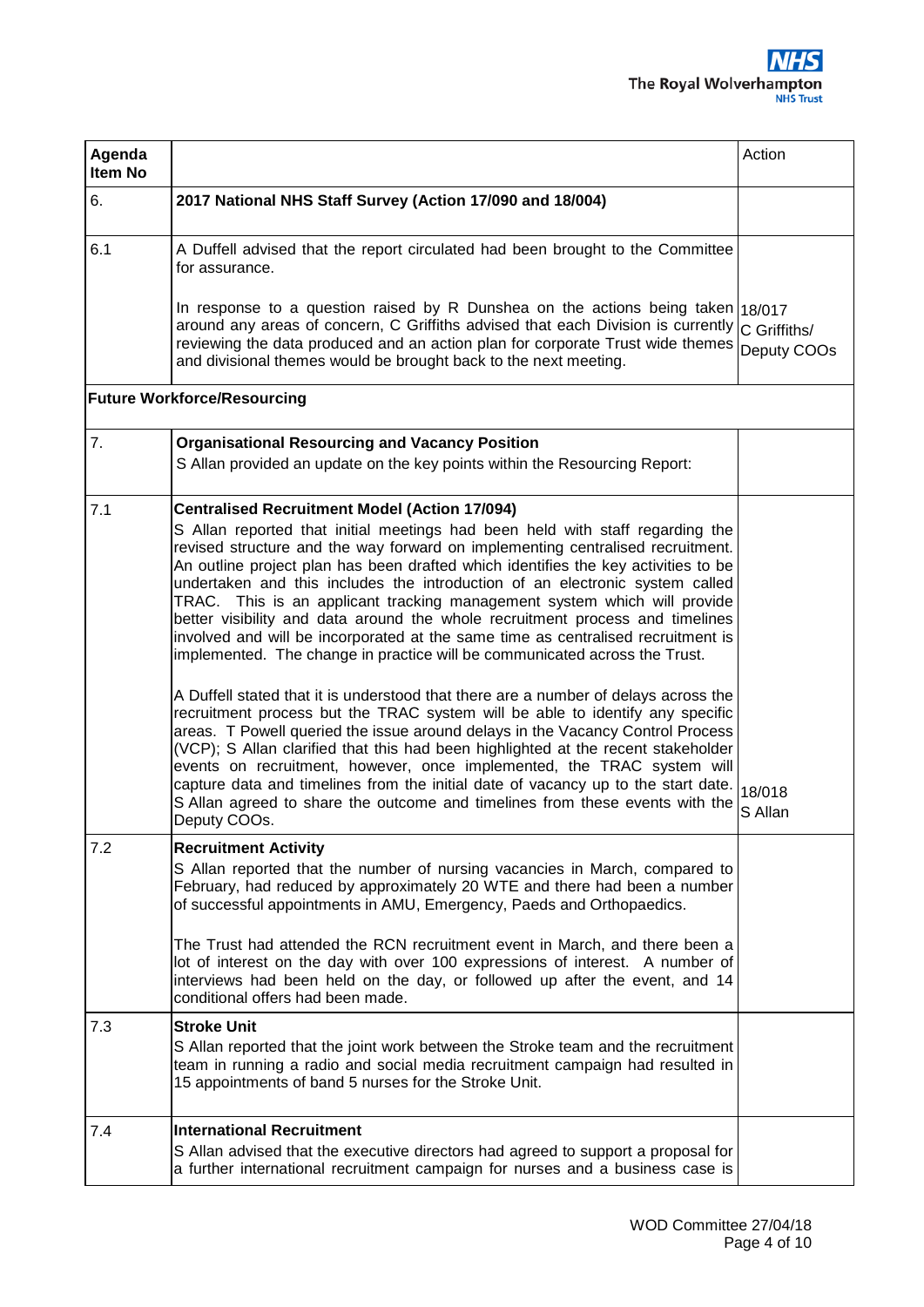| Agenda<br>Item No |                                                                                                                                                                                                                                                                                                                                                                                                                                                                                                                                                                                                                                                                                                                                                                                                                                                                                                                                                                                                                                                                                                                                                                                                                                                                                                                            | Action                      |
|-------------------|----------------------------------------------------------------------------------------------------------------------------------------------------------------------------------------------------------------------------------------------------------------------------------------------------------------------------------------------------------------------------------------------------------------------------------------------------------------------------------------------------------------------------------------------------------------------------------------------------------------------------------------------------------------------------------------------------------------------------------------------------------------------------------------------------------------------------------------------------------------------------------------------------------------------------------------------------------------------------------------------------------------------------------------------------------------------------------------------------------------------------------------------------------------------------------------------------------------------------------------------------------------------------------------------------------------------------|-----------------------------|
| 6.                | 2017 National NHS Staff Survey (Action 17/090 and 18/004)                                                                                                                                                                                                                                                                                                                                                                                                                                                                                                                                                                                                                                                                                                                                                                                                                                                                                                                                                                                                                                                                                                                                                                                                                                                                  |                             |
| 6.1               | A Duffell advised that the report circulated had been brought to the Committee<br>for assurance.                                                                                                                                                                                                                                                                                                                                                                                                                                                                                                                                                                                                                                                                                                                                                                                                                                                                                                                                                                                                                                                                                                                                                                                                                           |                             |
|                   | In response to a question raised by R Dunshea on the actions being taken 18/017<br>around any areas of concern, C Griffiths advised that each Division is currently<br>reviewing the data produced and an action plan for corporate Trust wide themes<br>and divisional themes would be brought back to the next meeting.                                                                                                                                                                                                                                                                                                                                                                                                                                                                                                                                                                                                                                                                                                                                                                                                                                                                                                                                                                                                  | C Griffiths/<br>Deputy COOs |
|                   | <b>Future Workforce/Resourcing</b>                                                                                                                                                                                                                                                                                                                                                                                                                                                                                                                                                                                                                                                                                                                                                                                                                                                                                                                                                                                                                                                                                                                                                                                                                                                                                         |                             |
| 7.                | <b>Organisational Resourcing and Vacancy Position</b><br>S Allan provided an update on the key points within the Resourcing Report:                                                                                                                                                                                                                                                                                                                                                                                                                                                                                                                                                                                                                                                                                                                                                                                                                                                                                                                                                                                                                                                                                                                                                                                        |                             |
| 7.1               | <b>Centralised Recruitment Model (Action 17/094)</b><br>S Allan reported that initial meetings had been held with staff regarding the<br>revised structure and the way forward on implementing centralised recruitment.<br>An outline project plan has been drafted which identifies the key activities to be<br>undertaken and this includes the introduction of an electronic system called<br>TRAC. This is an applicant tracking management system which will provide<br>better visibility and data around the whole recruitment process and timelines<br>involved and will be incorporated at the same time as centralised recruitment is<br>implemented. The change in practice will be communicated across the Trust.<br>A Duffell stated that it is understood that there are a number of delays across the<br>recruitment process but the TRAC system will be able to identify any specific<br>areas. T Powell queried the issue around delays in the Vacancy Control Process<br>(VCP); S Allan clarified that this had been highlighted at the recent stakeholder<br>events on recruitment, however, once implemented, the TRAC system will<br>capture data and timelines from the initial date of vacancy up to the start date.<br>S Allan agreed to share the outcome and timelines from these events with the | 18/018<br>S Allan           |
| 7.2               | Deputy COOs.<br><b>Recruitment Activity</b><br>S Allan reported that the number of nursing vacancies in March, compared to<br>February, had reduced by approximately 20 WTE and there had been a number<br>of successful appointments in AMU, Emergency, Paeds and Orthopaedics.<br>The Trust had attended the RCN recruitment event in March, and there been a<br>lot of interest on the day with over 100 expressions of interest. A number of<br>interviews had been held on the day, or followed up after the event, and 14<br>conditional offers had been made.                                                                                                                                                                                                                                                                                                                                                                                                                                                                                                                                                                                                                                                                                                                                                       |                             |
| 7.3               | <b>Stroke Unit</b><br>S Allan reported that the joint work between the Stroke team and the recruitment<br>team in running a radio and social media recruitment campaign had resulted in<br>15 appointments of band 5 nurses for the Stroke Unit.                                                                                                                                                                                                                                                                                                                                                                                                                                                                                                                                                                                                                                                                                                                                                                                                                                                                                                                                                                                                                                                                           |                             |
| 7.4               | <b>International Recruitment</b><br>S Allan advised that the executive directors had agreed to support a proposal for<br>a further international recruitment campaign for nurses and a business case is                                                                                                                                                                                                                                                                                                                                                                                                                                                                                                                                                                                                                                                                                                                                                                                                                                                                                                                                                                                                                                                                                                                    |                             |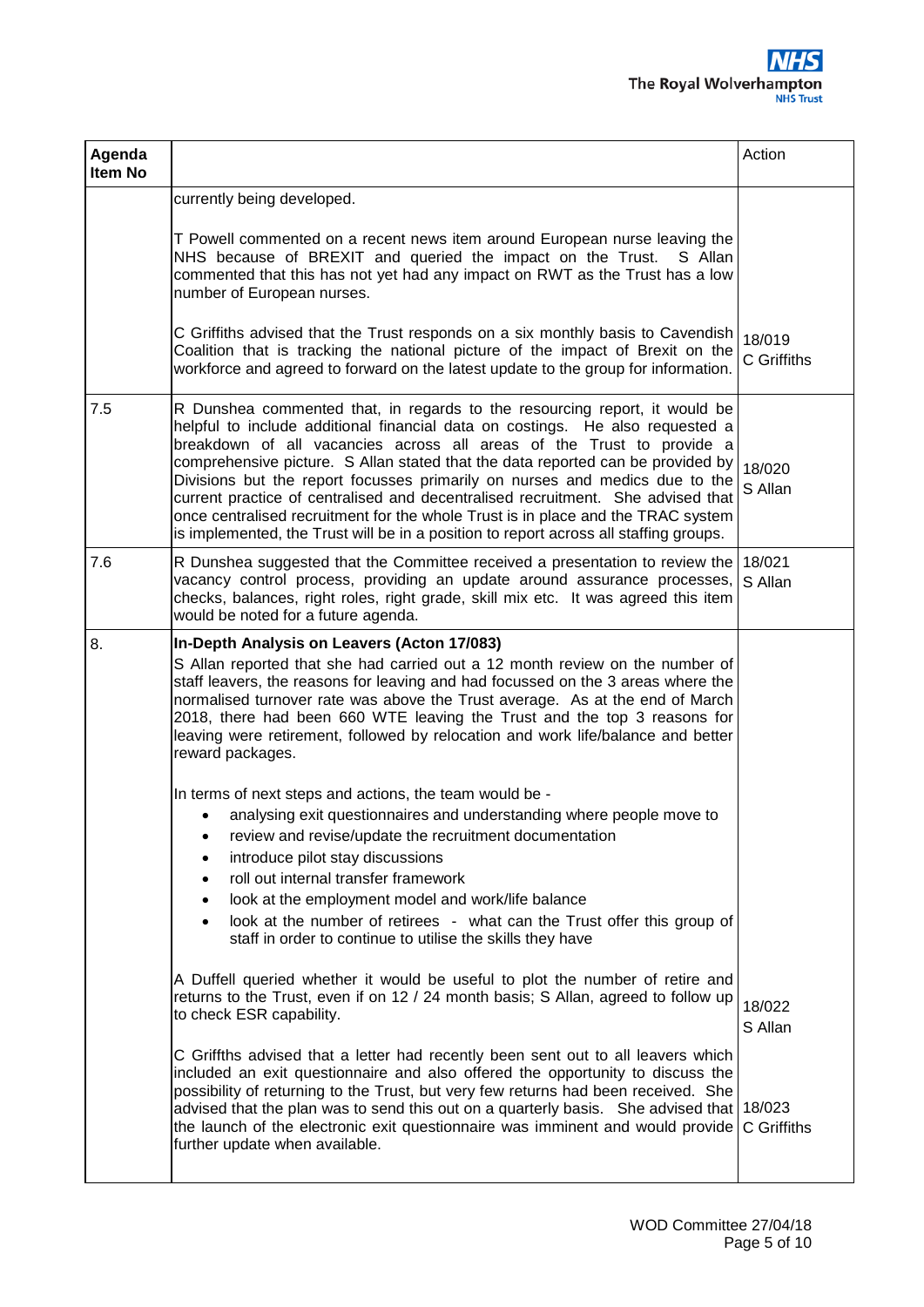| Agenda<br>Item No |                                                                                                                                                                                                                                                                                                                                                                                                                                                                                                                                                                                                                                                                                                                                                                                       | Action                |
|-------------------|---------------------------------------------------------------------------------------------------------------------------------------------------------------------------------------------------------------------------------------------------------------------------------------------------------------------------------------------------------------------------------------------------------------------------------------------------------------------------------------------------------------------------------------------------------------------------------------------------------------------------------------------------------------------------------------------------------------------------------------------------------------------------------------|-----------------------|
|                   | currently being developed.<br>T Powell commented on a recent news item around European nurse leaving the<br>NHS because of BREXIT and queried the impact on the Trust.<br>S Allan<br>commented that this has not yet had any impact on RWT as the Trust has a low<br>number of European nurses.<br>C Griffiths advised that the Trust responds on a six monthly basis to Cavendish<br>Coalition that is tracking the national picture of the impact of Brexit on the<br>workforce and agreed to forward on the latest update to the group for information.                                                                                                                                                                                                                            | 18/019<br>C Griffiths |
| 7.5               | R Dunshea commented that, in regards to the resourcing report, it would be<br>helpful to include additional financial data on costings. He also requested a<br>breakdown of all vacancies across all areas of the Trust to provide a<br>comprehensive picture. S Allan stated that the data reported can be provided by<br>Divisions but the report focusses primarily on nurses and medics due to the<br>current practice of centralised and decentralised recruitment. She advised that<br>once centralised recruitment for the whole Trust is in place and the TRAC system<br>is implemented, the Trust will be in a position to report across all staffing groups.                                                                                                                | 18/020<br>S Allan     |
| 7.6               | R Dunshea suggested that the Committee received a presentation to review the 18/021<br>vacancy control process, providing an update around assurance processes,<br>checks, balances, right roles, right grade, skill mix etc. It was agreed this item<br>would be noted for a future agenda.                                                                                                                                                                                                                                                                                                                                                                                                                                                                                          | S Allan               |
| 8.                | In-Depth Analysis on Leavers (Acton 17/083)<br>S Allan reported that she had carried out a 12 month review on the number of<br>staff leavers, the reasons for leaving and had focussed on the 3 areas where the<br>normalised turnover rate was above the Trust average. As at the end of March<br>2018, there had been 660 WTE leaving the Trust and the top 3 reasons for<br>leaving were retirement, followed by relocation and work life/balance and better<br>reward packages.                                                                                                                                                                                                                                                                                                   |                       |
|                   | In terms of next steps and actions, the team would be -<br>analysing exit questionnaires and understanding where people move to<br>review and revise/update the recruitment documentation<br>introduce pilot stay discussions<br>$\bullet$<br>roll out internal transfer framework<br>look at the employment model and work/life balance<br>$\bullet$<br>look at the number of retirees - what can the Trust offer this group of<br>staff in order to continue to utilise the skills they have<br>A Duffell queried whether it would be useful to plot the number of retire and<br>returns to the Trust, even if on 12 / 24 month basis; S Allan, agreed to follow up<br>to check ESR capability.<br>C Griffths advised that a letter had recently been sent out to all leavers which | 18/022<br>S Allan     |
|                   | included an exit questionnaire and also offered the opportunity to discuss the<br>possibility of returning to the Trust, but very few returns had been received. She<br>advised that the plan was to send this out on a quarterly basis. She advised that $18/023$<br>the launch of the electronic exit questionnaire was imminent and would provide<br>further update when available.                                                                                                                                                                                                                                                                                                                                                                                                | C Griffiths           |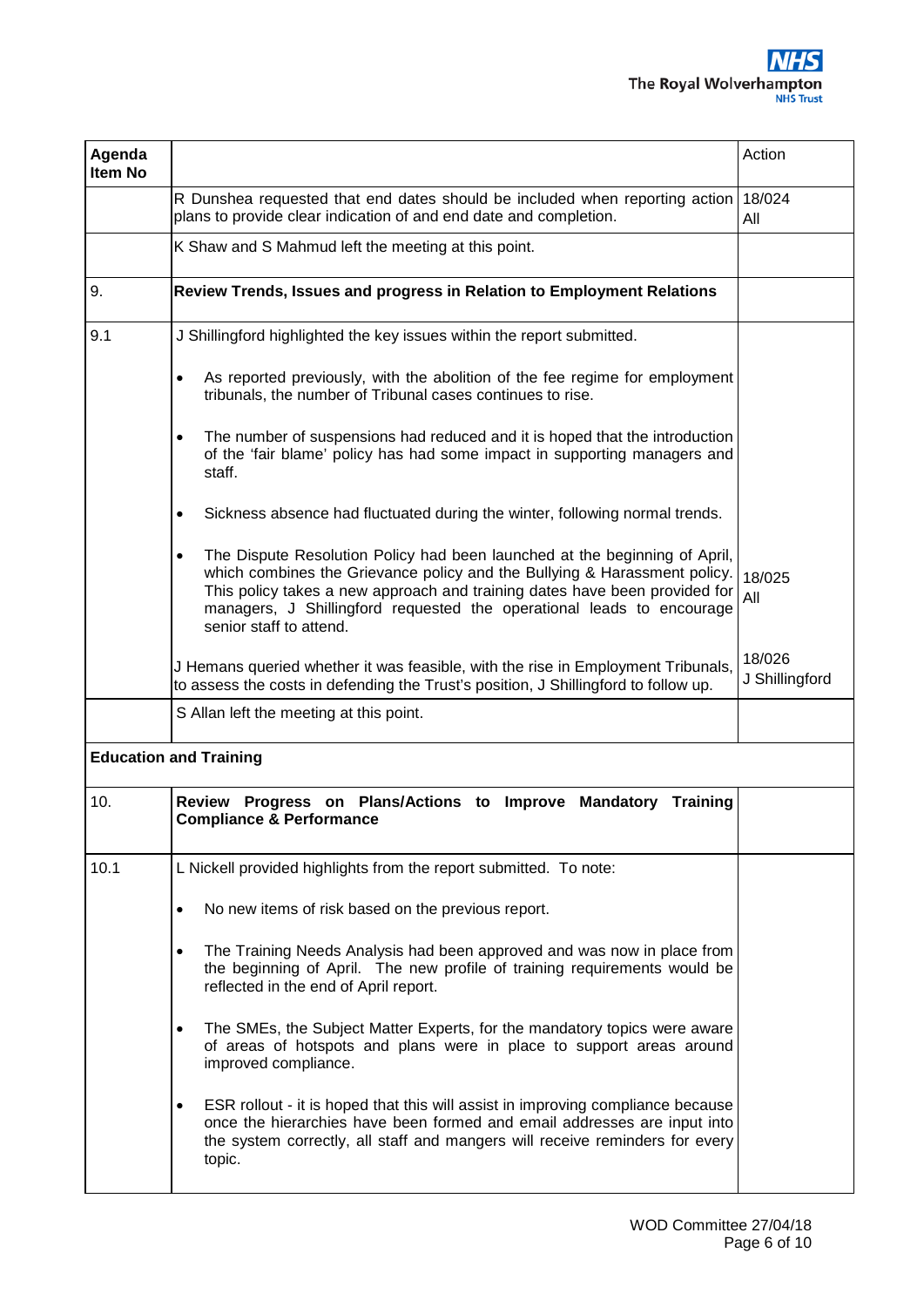| Agenda<br>Item No |                                                                                                                                                                                                                                                                                                                                                        | Action                   |
|-------------------|--------------------------------------------------------------------------------------------------------------------------------------------------------------------------------------------------------------------------------------------------------------------------------------------------------------------------------------------------------|--------------------------|
|                   | R Dunshea requested that end dates should be included when reporting action<br>plans to provide clear indication of and end date and completion.                                                                                                                                                                                                       | 18/024<br>All            |
|                   | K Shaw and S Mahmud left the meeting at this point.                                                                                                                                                                                                                                                                                                    |                          |
| 9.                | Review Trends, Issues and progress in Relation to Employment Relations                                                                                                                                                                                                                                                                                 |                          |
| 9.1               | J Shillingford highlighted the key issues within the report submitted.                                                                                                                                                                                                                                                                                 |                          |
|                   | As reported previously, with the abolition of the fee regime for employment<br>$\bullet$<br>tribunals, the number of Tribunal cases continues to rise.                                                                                                                                                                                                 |                          |
|                   | The number of suspensions had reduced and it is hoped that the introduction<br>$\bullet$<br>of the 'fair blame' policy has had some impact in supporting managers and<br>staff.                                                                                                                                                                        |                          |
|                   | Sickness absence had fluctuated during the winter, following normal trends.<br>$\bullet$                                                                                                                                                                                                                                                               |                          |
|                   | The Dispute Resolution Policy had been launched at the beginning of April,<br>$\bullet$<br>which combines the Grievance policy and the Bullying & Harassment policy.<br>This policy takes a new approach and training dates have been provided for<br>managers, J Shillingford requested the operational leads to encourage<br>senior staff to attend. | 18/025<br>All            |
|                   | J Hemans queried whether it was feasible, with the rise in Employment Tribunals,<br>to assess the costs in defending the Trust's position, J Shillingford to follow up.                                                                                                                                                                                | 18/026<br>J Shillingford |
|                   | S Allan left the meeting at this point.                                                                                                                                                                                                                                                                                                                |                          |
|                   | <b>Education and Training</b>                                                                                                                                                                                                                                                                                                                          |                          |
| 10.               | Review Progress on Plans/Actions to Improve Mandatory<br>Training<br><b>Compliance &amp; Performance</b>                                                                                                                                                                                                                                               |                          |
| 10.1              | L Nickell provided highlights from the report submitted. To note:                                                                                                                                                                                                                                                                                      |                          |
|                   | No new items of risk based on the previous report.<br>$\bullet$                                                                                                                                                                                                                                                                                        |                          |
|                   | The Training Needs Analysis had been approved and was now in place from<br>$\bullet$<br>the beginning of April. The new profile of training requirements would be<br>reflected in the end of April report.                                                                                                                                             |                          |
|                   | The SMEs, the Subject Matter Experts, for the mandatory topics were aware<br>$\bullet$<br>of areas of hotspots and plans were in place to support areas around<br>improved compliance.                                                                                                                                                                 |                          |
|                   | ESR rollout - it is hoped that this will assist in improving compliance because<br>$\bullet$<br>once the hierarchies have been formed and email addresses are input into<br>the system correctly, all staff and mangers will receive reminders for every<br>topic.                                                                                     |                          |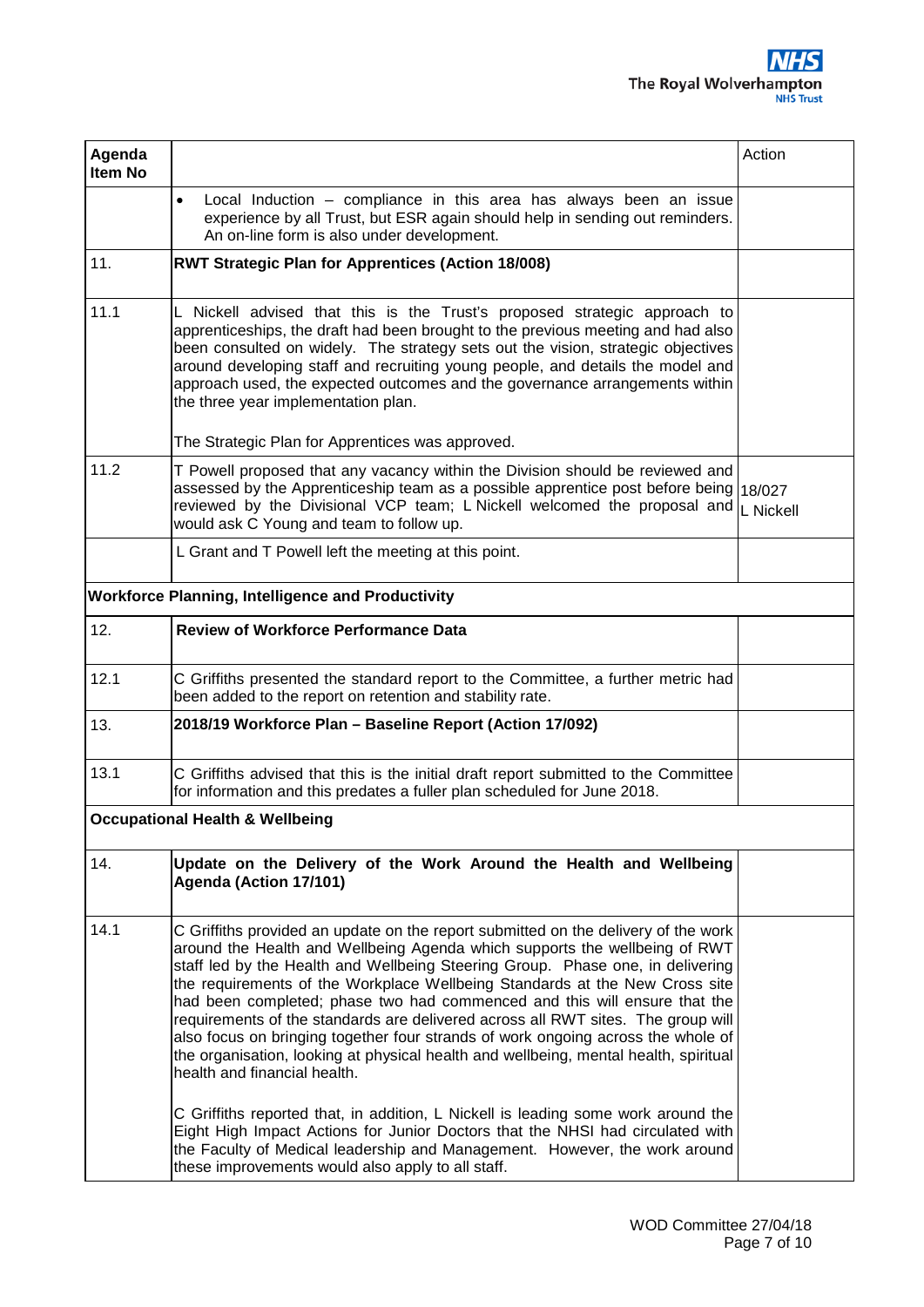| Agenda<br>Item No                                        |                                                                                                                                                                                                                                                                                                                                                                                                                                                                                                                                                                                                                                                                                                                                                                                                                                                                                                                                                                                                                          | Action |  |
|----------------------------------------------------------|--------------------------------------------------------------------------------------------------------------------------------------------------------------------------------------------------------------------------------------------------------------------------------------------------------------------------------------------------------------------------------------------------------------------------------------------------------------------------------------------------------------------------------------------------------------------------------------------------------------------------------------------------------------------------------------------------------------------------------------------------------------------------------------------------------------------------------------------------------------------------------------------------------------------------------------------------------------------------------------------------------------------------|--------|--|
|                                                          | Local Induction - compliance in this area has always been an issue<br>$\bullet$<br>experience by all Trust, but ESR again should help in sending out reminders.<br>An on-line form is also under development.                                                                                                                                                                                                                                                                                                                                                                                                                                                                                                                                                                                                                                                                                                                                                                                                            |        |  |
| 11.                                                      | <b>RWT Strategic Plan for Apprentices (Action 18/008)</b>                                                                                                                                                                                                                                                                                                                                                                                                                                                                                                                                                                                                                                                                                                                                                                                                                                                                                                                                                                |        |  |
| 11.1                                                     | L Nickell advised that this is the Trust's proposed strategic approach to<br>apprenticeships, the draft had been brought to the previous meeting and had also<br>been consulted on widely. The strategy sets out the vision, strategic objectives<br>around developing staff and recruiting young people, and details the model and<br>approach used, the expected outcomes and the governance arrangements within<br>the three year implementation plan.<br>The Strategic Plan for Apprentices was approved.                                                                                                                                                                                                                                                                                                                                                                                                                                                                                                            |        |  |
| 11.2                                                     | T Powell proposed that any vacancy within the Division should be reviewed and<br>assessed by the Apprenticeship team as a possible apprentice post before being 18/027<br>reviewed by the Divisional VCP team; L Nickell welcomed the proposal and L Nickell<br>would ask C Young and team to follow up.                                                                                                                                                                                                                                                                                                                                                                                                                                                                                                                                                                                                                                                                                                                 |        |  |
|                                                          | L Grant and T Powell left the meeting at this point.                                                                                                                                                                                                                                                                                                                                                                                                                                                                                                                                                                                                                                                                                                                                                                                                                                                                                                                                                                     |        |  |
| <b>Workforce Planning, Intelligence and Productivity</b> |                                                                                                                                                                                                                                                                                                                                                                                                                                                                                                                                                                                                                                                                                                                                                                                                                                                                                                                                                                                                                          |        |  |
| 12.                                                      | <b>Review of Workforce Performance Data</b>                                                                                                                                                                                                                                                                                                                                                                                                                                                                                                                                                                                                                                                                                                                                                                                                                                                                                                                                                                              |        |  |
| 12.1                                                     | C Griffiths presented the standard report to the Committee, a further metric had<br>been added to the report on retention and stability rate.                                                                                                                                                                                                                                                                                                                                                                                                                                                                                                                                                                                                                                                                                                                                                                                                                                                                            |        |  |
| 13.                                                      | 2018/19 Workforce Plan - Baseline Report (Action 17/092)                                                                                                                                                                                                                                                                                                                                                                                                                                                                                                                                                                                                                                                                                                                                                                                                                                                                                                                                                                 |        |  |
| 13.1                                                     | C Griffiths advised that this is the initial draft report submitted to the Committee<br>for information and this predates a fuller plan scheduled for June 2018.                                                                                                                                                                                                                                                                                                                                                                                                                                                                                                                                                                                                                                                                                                                                                                                                                                                         |        |  |
|                                                          | <b>Occupational Health &amp; Wellbeing</b>                                                                                                                                                                                                                                                                                                                                                                                                                                                                                                                                                                                                                                                                                                                                                                                                                                                                                                                                                                               |        |  |
| 14.                                                      | Update on the Delivery of the Work Around the Health and Wellbeing<br>Agenda (Action 17/101)                                                                                                                                                                                                                                                                                                                                                                                                                                                                                                                                                                                                                                                                                                                                                                                                                                                                                                                             |        |  |
| 14.1                                                     | C Griffiths provided an update on the report submitted on the delivery of the work<br>around the Health and Wellbeing Agenda which supports the wellbeing of RWT<br>staff led by the Health and Wellbeing Steering Group. Phase one, in delivering<br>the requirements of the Workplace Wellbeing Standards at the New Cross site<br>had been completed; phase two had commenced and this will ensure that the<br>requirements of the standards are delivered across all RWT sites. The group will<br>also focus on bringing together four strands of work ongoing across the whole of<br>the organisation, looking at physical health and wellbeing, mental health, spiritual<br>health and financial health.<br>C Griffiths reported that, in addition, L Nickell is leading some work around the<br>Eight High Impact Actions for Junior Doctors that the NHSI had circulated with<br>the Faculty of Medical leadership and Management. However, the work around<br>these improvements would also apply to all staff. |        |  |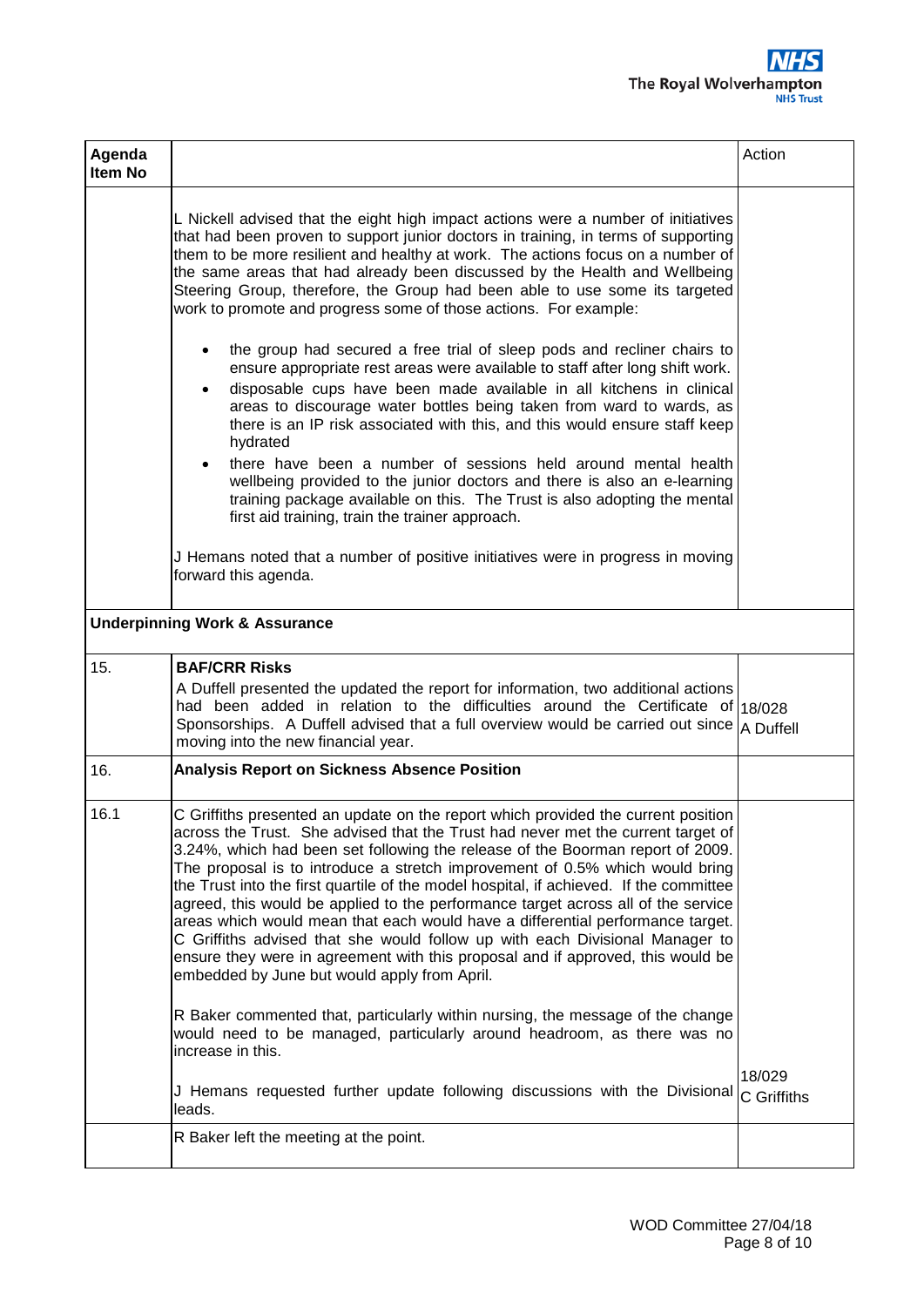

| Agenda<br>Item No |                                                                                                                                                                                                                                                                                                                                                                                                                                                                                                                                                                                                                                                                                                                                                                                                                             | Action                |
|-------------------|-----------------------------------------------------------------------------------------------------------------------------------------------------------------------------------------------------------------------------------------------------------------------------------------------------------------------------------------------------------------------------------------------------------------------------------------------------------------------------------------------------------------------------------------------------------------------------------------------------------------------------------------------------------------------------------------------------------------------------------------------------------------------------------------------------------------------------|-----------------------|
|                   | L Nickell advised that the eight high impact actions were a number of initiatives<br>that had been proven to support junior doctors in training, in terms of supporting<br>them to be more resilient and healthy at work. The actions focus on a number of<br>the same areas that had already been discussed by the Health and Wellbeing<br>Steering Group, therefore, the Group had been able to use some its targeted<br>work to promote and progress some of those actions. For example:<br>the group had secured a free trial of sleep pods and recliner chairs to<br>$\bullet$                                                                                                                                                                                                                                         |                       |
|                   | ensure appropriate rest areas were available to staff after long shift work.<br>disposable cups have been made available in all kitchens in clinical<br>$\bullet$<br>areas to discourage water bottles being taken from ward to wards, as<br>there is an IP risk associated with this, and this would ensure staff keep<br>hydrated                                                                                                                                                                                                                                                                                                                                                                                                                                                                                         |                       |
|                   | there have been a number of sessions held around mental health<br>$\bullet$<br>wellbeing provided to the junior doctors and there is also an e-learning<br>training package available on this. The Trust is also adopting the mental<br>first aid training, train the trainer approach.                                                                                                                                                                                                                                                                                                                                                                                                                                                                                                                                     |                       |
|                   | J Hemans noted that a number of positive initiatives were in progress in moving<br>forward this agenda.                                                                                                                                                                                                                                                                                                                                                                                                                                                                                                                                                                                                                                                                                                                     |                       |
|                   | <b>Underpinning Work &amp; Assurance</b>                                                                                                                                                                                                                                                                                                                                                                                                                                                                                                                                                                                                                                                                                                                                                                                    |                       |
| 15.               | <b>BAF/CRR Risks</b><br>A Duffell presented the updated the report for information, two additional actions<br>had been added in relation to the difficulties around the Certificate of 18/028<br>Sponsorships. A Duffell advised that a full overview would be carried out since $A$ Duffell<br>moving into the new financial year.                                                                                                                                                                                                                                                                                                                                                                                                                                                                                         |                       |
| 16.               | <b>Analysis Report on Sickness Absence Position</b>                                                                                                                                                                                                                                                                                                                                                                                                                                                                                                                                                                                                                                                                                                                                                                         |                       |
| 16.1              | C Griffiths presented an update on the report which provided the current position<br>across the Trust. She advised that the Trust had never met the current target of<br>3.24%, which had been set following the release of the Boorman report of 2009.<br>The proposal is to introduce a stretch improvement of 0.5% which would bring<br>the Trust into the first quartile of the model hospital, if achieved. If the committee<br>agreed, this would be applied to the performance target across all of the service<br>areas which would mean that each would have a differential performance target.<br>C Griffiths advised that she would follow up with each Divisional Manager to<br>ensure they were in agreement with this proposal and if approved, this would be<br>embedded by June but would apply from April. |                       |
|                   | R Baker commented that, particularly within nursing, the message of the change<br>would need to be managed, particularly around headroom, as there was no<br>increase in this.                                                                                                                                                                                                                                                                                                                                                                                                                                                                                                                                                                                                                                              |                       |
|                   | J Hemans requested further update following discussions with the Divisional<br>leads.                                                                                                                                                                                                                                                                                                                                                                                                                                                                                                                                                                                                                                                                                                                                       | 18/029<br>C Griffiths |
|                   | R Baker left the meeting at the point.                                                                                                                                                                                                                                                                                                                                                                                                                                                                                                                                                                                                                                                                                                                                                                                      |                       |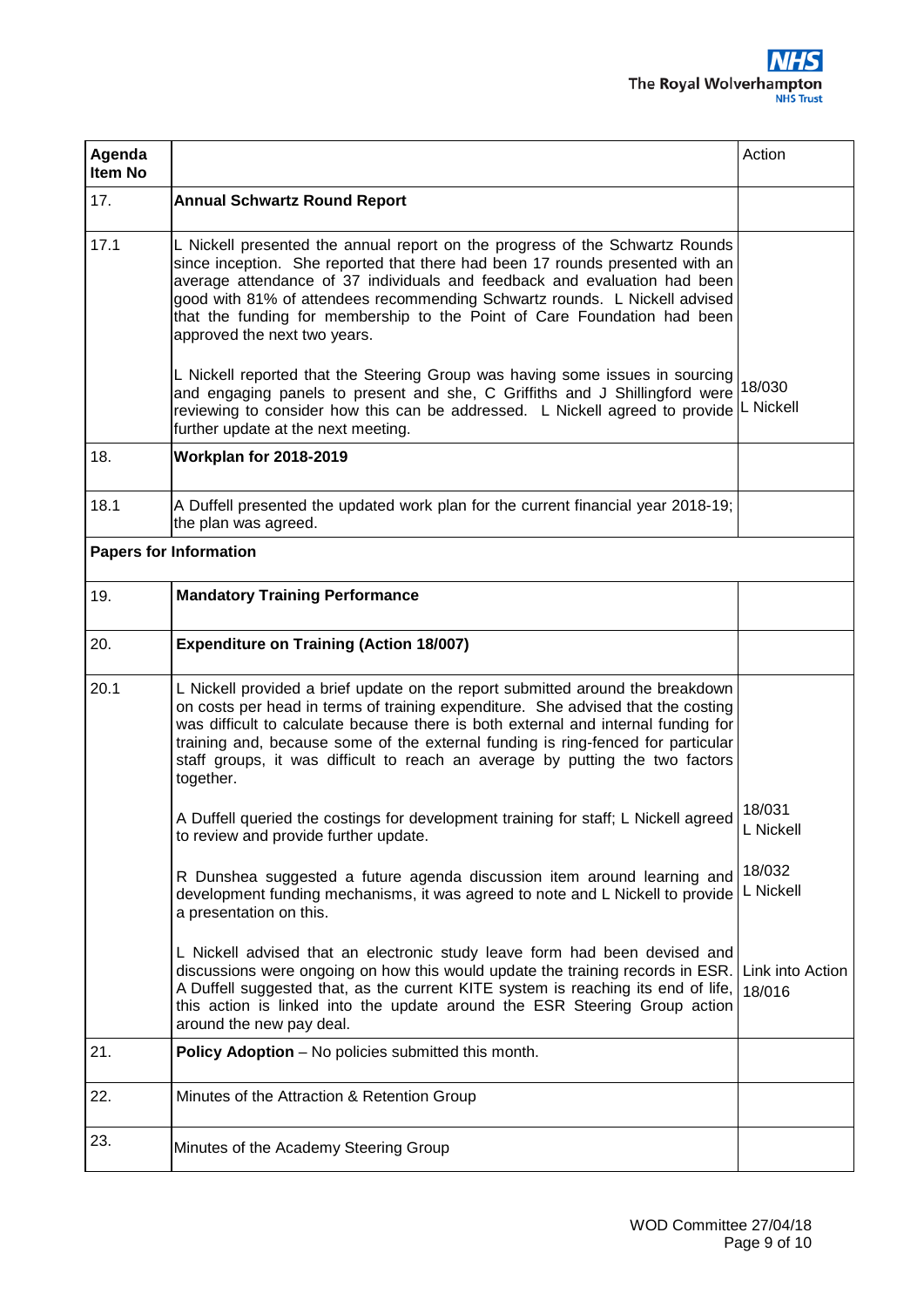| Agenda<br>Item No |                                                                                                                                                                                                                                                                                                                                                                                                                                            | Action                     |
|-------------------|--------------------------------------------------------------------------------------------------------------------------------------------------------------------------------------------------------------------------------------------------------------------------------------------------------------------------------------------------------------------------------------------------------------------------------------------|----------------------------|
| 17.               | <b>Annual Schwartz Round Report</b>                                                                                                                                                                                                                                                                                                                                                                                                        |                            |
| 17.1              | L Nickell presented the annual report on the progress of the Schwartz Rounds<br>since inception. She reported that there had been 17 rounds presented with an<br>average attendance of 37 individuals and feedback and evaluation had been<br>good with 81% of attendees recommending Schwartz rounds. L Nickell advised<br>that the funding for membership to the Point of Care Foundation had been<br>approved the next two years.       |                            |
|                   | L Nickell reported that the Steering Group was having some issues in sourcing<br>and engaging panels to present and she, C Griffiths and J Shillingford were<br>reviewing to consider how this can be addressed. L Nickell agreed to provide<br>further update at the next meeting.                                                                                                                                                        | 18/030<br>L Nickell        |
| 18.               | Workplan for 2018-2019                                                                                                                                                                                                                                                                                                                                                                                                                     |                            |
| 18.1              | A Duffell presented the updated work plan for the current financial year 2018-19;<br>the plan was agreed.                                                                                                                                                                                                                                                                                                                                  |                            |
|                   | <b>Papers for Information</b>                                                                                                                                                                                                                                                                                                                                                                                                              |                            |
| 19.               | <b>Mandatory Training Performance</b>                                                                                                                                                                                                                                                                                                                                                                                                      |                            |
| 20.               | <b>Expenditure on Training (Action 18/007)</b>                                                                                                                                                                                                                                                                                                                                                                                             |                            |
| 20.1              | L Nickell provided a brief update on the report submitted around the breakdown<br>on costs per head in terms of training expenditure. She advised that the costing<br>was difficult to calculate because there is both external and internal funding for<br>training and, because some of the external funding is ring-fenced for particular<br>staff groups, it was difficult to reach an average by putting the two factors<br>together. |                            |
|                   | A Duffell queried the costings for development training for staff; L Nickell agreed<br>to review and provide further update.                                                                                                                                                                                                                                                                                                               | 18/031<br>L Nickell        |
|                   | R Dunshea suggested a future agenda discussion item around learning and<br>development funding mechanisms, it was agreed to note and L Nickell to provide<br>a presentation on this.                                                                                                                                                                                                                                                       | 18/032<br>L Nickell        |
|                   | L Nickell advised that an electronic study leave form had been devised and<br>discussions were ongoing on how this would update the training records in ESR.<br>A Duffell suggested that, as the current KITE system is reaching its end of life,<br>this action is linked into the update around the ESR Steering Group action<br>around the new pay deal.                                                                                | Link into Action<br>18/016 |
| 21.               | Policy Adoption - No policies submitted this month.                                                                                                                                                                                                                                                                                                                                                                                        |                            |
| 22.               | Minutes of the Attraction & Retention Group                                                                                                                                                                                                                                                                                                                                                                                                |                            |
| 23.               | Minutes of the Academy Steering Group                                                                                                                                                                                                                                                                                                                                                                                                      |                            |
|                   |                                                                                                                                                                                                                                                                                                                                                                                                                                            |                            |